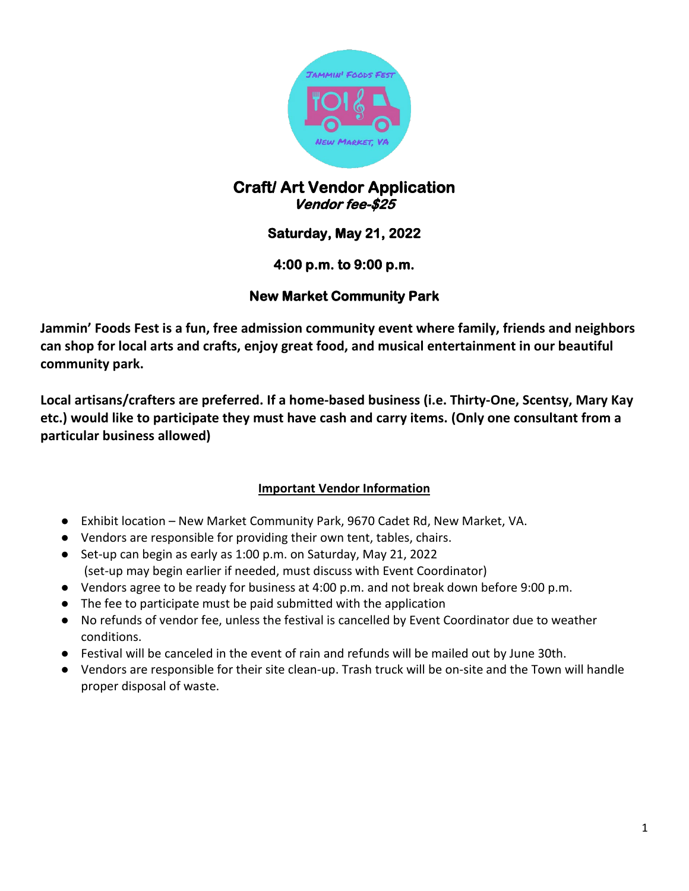

# **Craft/ Art Vendor Application Vendor fee-\$25**

# **Saturday, May 21, 2022**

### **4:00 p.m. to 9:00 p.m.**

## **New Market Community Park**

**Jammin' Foods Fest is a fun, free admission community event where family, friends and neighbors can shop for local arts and crafts, enjoy great food, and musical entertainment in our beautiful community park.**

**Local artisans/crafters are preferred. If a home-based business (i.e. Thirty-One, Scentsy, Mary Kay etc.) would like to participate they must have cash and carry items. (Only one consultant from a particular business allowed)**

### **Important Vendor Information**

- Exhibit location New Market Community Park, 9670 Cadet Rd, New Market, VA.
- Vendors are responsible for providing their own tent, tables, chairs.
- Set-up can begin as early as 1:00 p.m. on Saturday, May 21, 2022 (set-up may begin earlier if needed, must discuss with Event Coordinator)
- Vendors agree to be ready for business at 4:00 p.m. and not break down before 9:00 p.m.
- The fee to participate must be paid submitted with the application
- No refunds of vendor fee, unless the festival is cancelled by Event Coordinator due to weather conditions.
- Festival will be canceled in the event of rain and refunds will be mailed out by June 30th.
- Vendors are responsible for their site clean-up. Trash truck will be on-site and the Town will handle proper disposal of waste.